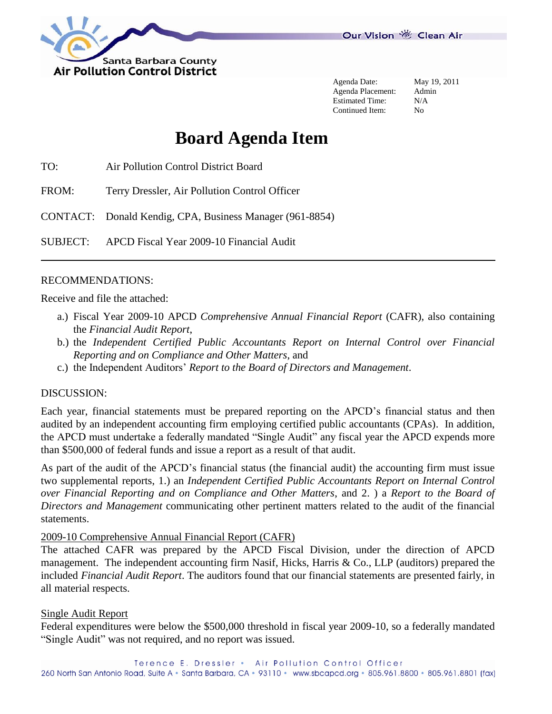

Agenda Date: May 19, 2011 Agenda Placement: Admin Estimated Time: N/A Continued Item: No

# **Board Agenda Item**

TO: Air Pollution Control District Board

FROM: Terry Dressler, Air Pollution Control Officer

CONTACT: Donald Kendig, CPA, Business Manager (961-8854)

SUBJECT: APCD Fiscal Year 2009-10 Financial Audit

#### RECOMMENDATIONS:

Receive and file the attached:

- a.) Fiscal Year 2009-10 APCD *Comprehensive Annual Financial Report* (CAFR), also containing the *Financial Audit Report*,
- b.) the *Independent Certified Public Accountants Report on Internal Control over Financial Reporting and on Compliance and Other Matters*, and
- c.) the Independent Auditors' *Report to the Board of Directors and Management*.

#### DISCUSSION:

Each year, financial statements must be prepared reporting on the APCD's financial status and then audited by an independent accounting firm employing certified public accountants (CPAs). In addition, the APCD must undertake a federally mandated "Single Audit" any fiscal year the APCD expends more than \$500,000 of federal funds and issue a report as a result of that audit.

As part of the audit of the APCD's financial status (the financial audit) the accounting firm must issue two supplemental reports, 1.) an *Independent Certified Public Accountants Report on Internal Control over Financial Reporting and on Compliance and Other Matters*, and 2. ) a *Report to the Board of Directors and Management* communicating other pertinent matters related to the audit of the financial statements.

#### 2009-10 Comprehensive Annual Financial Report (CAFR)

The attached CAFR was prepared by the APCD Fiscal Division, under the direction of APCD management. The independent accounting firm Nasif, Hicks, Harris & Co., LLP (auditors) prepared the included *Financial Audit Report*. The auditors found that our financial statements are presented fairly, in all material respects.

#### Single Audit Report

Federal expenditures were below the \$500,000 threshold in fiscal year 2009-10, so a federally mandated "Single Audit" was not required, and no report was issued.